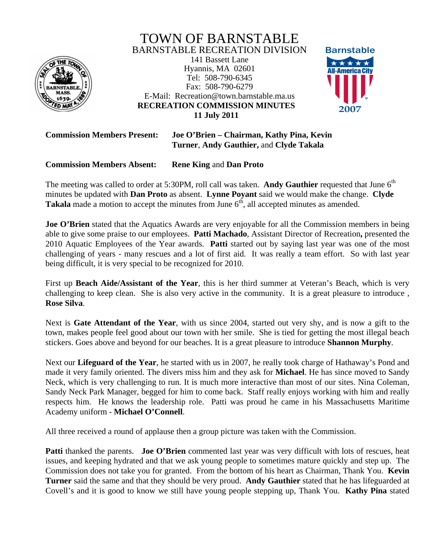

**RECREATION COMMISSION MINUTES**  TOWN OF BARNSTABLE BARNSTABLE RECREATION DIVISION 141 Bassett Lane Hyannis, MA 02601 Tel: 508-790-6345 Fax: 508-790-6279 E-Mail: Recreation@town.barnstable.ma.us **11 July 2011** 



**Commission Members Present: Joe O'Brien – Chairman, Kathy Pina, Kevin Turner**, **Andy Gauthier,** and **Clyde Takala**

# **Commission Members Absent: Rene King** and **Dan Proto**

The meeting was called to order at 5:30PM, roll call was taken. Andy Gauthier requested that June 6<sup>th</sup> minutes be updated with **Dan Proto** as absent. **Lynne Poyant** said we would make the change. **Clyde Takala** made a motion to accept the minutes from June  $6<sup>th</sup>$ , all accepted minutes as amended.

**Joe O'Brien** stated that the Aquatics Awards are very enjoyable for all the Commission members in being able to give some praise to our employees. **Patti Machado**, Assistant Director of Recreation**,** presented the 2010 Aquatic Employees of the Year awards. **Patti** started out by saying last year was one of the most challenging of years - many rescues and a lot of first aid. It was really a team effort. So with last year being difficult, it is very special to be recognized for 2010.

First up **Beach Aide/Assistant of the Year**, this is her third summer at Veteran's Beach, which is very challenging to keep clean. She is also very active in the community. It is a great pleasure to introduce , **Rose Silva**.

Next is **Gate Attendant of the Year**, with us since 2004, started out very shy, and is now a gift to the town, makes people feel good about our town with her smile. She is tied for getting the most illegal beach stickers. Goes above and beyond for our beaches. It is a great pleasure to introduce **Shannon Murphy**.

Next our **Lifeguard of the Year**, he started with us in 2007, he really took charge of Hathaway's Pond and made it very family oriented. The divers miss him and they ask for **Michael**. He has since moved to Sandy Neck, which is very challenging to run. It is much more interactive than most of our sites. Nina Coleman, Sandy Neck Park Manager, begged for him to come back. Staff really enjoys working with him and really respects him. He knows the leadership role. Patti was proud he came in his Massachusetts Maritime Academy uniform - **Michael O'Connell**.

All three received a round of applause then a group picture was taken with the Commission.

**Patti** thanked the parents. **Joe O'Brien** commented last year was very difficult with lots of rescues, heat issues, and keeping hydrated and that we ask young people to sometimes mature quickly and step up. The Commission does not take you for granted. From the bottom of his heart as Chairman, Thank You. **Kevin Turner** said the same and that they should be very proud. **Andy Gauthier** stated that he has lifeguarded at Covell's and it is good to know we still have young people stepping up, Thank You. **Kathy Pina** stated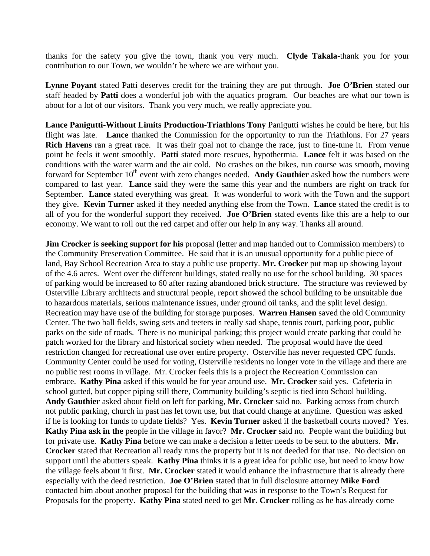thanks for the safety you give the town, thank you very much. **Clyde Takala**-thank you for your contribution to our Town, we wouldn't be where we are without you.

**Lynne Poyant** stated Patti deserves credit for the training they are put through. **Joe O'Brien** stated our staff headed by **Patti** does a wonderful job with the aquatics program. Our beaches are what our town is about for a lot of our visitors. Thank you very much, we really appreciate you.

**Lance Panigutti-Without Limits Production-Triathlons Tony** Panigutti wishes he could be here, but his flight was late. **Lance** thanked the Commission for the opportunity to run the Triathlons. For 27 years **Rich Havens** ran a great race. It was their goal not to change the race, just to fine-tune it. From venue point he feels it went smoothly. **Patti** stated more rescues, hypothermia. **Lance** felt it was based on the conditions with the water warm and the air cold. No crashes on the bikes, run course was smooth, moving forward for September 10<sup>th</sup> event with zero changes needed. Andy Gauthier asked how the numbers were compared to last year. **Lance** said they were the same this year and the numbers are right on track for September. **Lance** stated everything was great. It was wonderful to work with the Town and the support they give. **Kevin Turner** asked if they needed anything else from the Town. **Lance** stated the credit is to all of you for the wonderful support they received. **Joe O'Brien** stated events like this are a help to our economy. We want to roll out the red carpet and offer our help in any way. Thanks all around.

**Jim Crocker is seeking support for his** proposal (letter and map handed out to Commission members) to the Community Preservation Committee. He said that it is an unusual opportunity for a public piece of land, Bay School Recreation Area to stay a public use property. **Mr. Crocker** put map up showing layout of the 4.6 acres. Went over the different buildings, stated really no use for the school building. 30 spaces of parking would be increased to 60 after razing abandoned brick structure. The structure was reviewed by Osterville Library architects and structural people, report showed the school building to be unsuitable due to hazardous materials, serious maintenance issues, under ground oil tanks, and the split level design. Recreation may have use of the building for storage purposes. **Warren Hansen** saved the old Community Center. The two ball fields, swing sets and teeters in really sad shape, tennis court, parking poor, public parks on the side of roads. There is no municipal parking; this project would create parking that could be patch worked for the library and historical society when needed. The proposal would have the deed restriction changed for recreational use over entire property. Osterville has never requested CPC funds. Community Center could be used for voting, Osterville residents no longer vote in the village and there are no public rest rooms in village. Mr. Crocker feels this is a project the Recreation Commission can embrace. **Kathy Pina** asked if this would be for year around use. **Mr. Crocker** said yes. Cafeteria in school gutted, but copper piping still there, Community building's septic is tied into School building. **Andy Gauthier** asked about field on left for parking, **Mr. Crocker** said no. Parking across from church not public parking, church in past has let town use, but that could change at anytime. Question was asked if he is looking for funds to update fields? Yes. **Kevin Turner** asked if the basketball courts moved? Yes. **Kathy Pina ask in the** people in the village in favor? **Mr. Crocker** said no. People want the building but for private use. **Kathy Pina** before we can make a decision a letter needs to be sent to the abutters. **Mr. Crocker** stated that Recreation all ready runs the property but it is not deeded for that use. No decision on support until the abutters speak. **Kathy Pina** thinks it is a great idea for public use, but need to know how the village feels about it first. **Mr. Crocker** stated it would enhance the infrastructure that is already there especially with the deed restriction. **Joe O'Brien** stated that in full disclosure attorney **Mike Ford** contacted him about another proposal for the building that was in response to the Town's Request for Proposals for the property. **Kathy Pina** stated need to get **Mr. Crocker** rolling as he has already come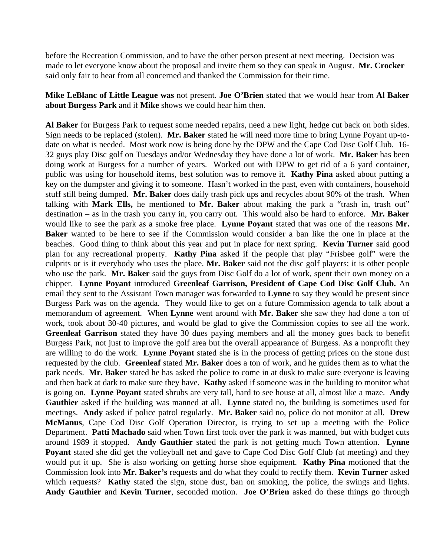before the Recreation Commission, and to have the other person present at next meeting. Decision was made to let everyone know about the proposal and invite them so they can speak in August. **Mr. Crocker** said only fair to hear from all concerned and thanked the Commission for their time.

**Mike LeBlanc of Little League was** not present. **Joe O'Brien** stated that we would hear from **Al Baker about Burgess Park** and if **Mike** shows we could hear him then.

**Al Baker** for Burgess Park to request some needed repairs, need a new light, hedge cut back on both sides. Sign needs to be replaced (stolen). **Mr. Baker** stated he will need more time to bring Lynne Poyant up-todate on what is needed. Most work now is being done by the DPW and the Cape Cod Disc Golf Club. 16- 32 guys play Disc golf on Tuesdays and/or Wednesday they have done a lot of work. **Mr. Baker** has been doing work at Burgess for a number of years. Worked out with DPW to get rid of a 6 yard container, public was using for household items, best solution was to remove it. **Kathy Pina** asked about putting a key on the dumpster and giving it to someone. Hasn't worked in the past, even with containers, household stuff still being dumped. **Mr. Baker** does daily trash pick ups and recycles about 90% of the trash. When talking with **Mark Ells,** he mentioned to **Mr. Baker** about making the park a "trash in, trash out" destination – as in the trash you carry in, you carry out. This would also be hard to enforce. **Mr. Baker** would like to see the park as a smoke free place. **Lynne Poyant** stated that was one of the reasons **Mr. Baker** wanted to be here to see if the Commission would consider a ban like the one in place at the beaches. Good thing to think about this year and put in place for next spring. **Kevin Turner** said good plan for any recreational property. **Kathy Pina** asked if the people that play "Frisbee golf" were the culprits or is it everybody who uses the place. **Mr. Baker** said not the disc golf players; it is other people who use the park. **Mr. Baker** said the guys from Disc Golf do a lot of work, spent their own money on a chipper. **Lynne Poyant** introduced **Greenleaf Garrison, President of Cape Cod Disc Golf Club.** An email they sent to the Assistant Town manager was forwarded to **Lynne** to say they would be present since Burgess Park was on the agenda. They would like to get on a future Commission agenda to talk about a memorandum of agreement. When **Lynne** went around with **Mr. Baker** she saw they had done a ton of work, took about 30-40 pictures, and would be glad to give the Commission copies to see all the work. **Greenleaf Garrison** stated they have 30 dues paying members and all the money goes back to benefit Burgess Park, not just to improve the golf area but the overall appearance of Burgess. As a nonprofit they are willing to do the work. **Lynne Poyant** stated she is in the process of getting prices on the stone dust requested by the club. **Greenleaf** stated **Mr. Baker** does a ton of work, and he guides them as to what the park needs. **Mr. Baker** stated he has asked the police to come in at dusk to make sure everyone is leaving and then back at dark to make sure they have. **Kathy** asked if someone was in the building to monitor what is going on. **Lynne Poyant** stated shrubs are very tall, hard to see house at all, almost like a maze. **Andy Gauthier** asked if the building was manned at all. **Lynne** stated no, the building is sometimes used for meetings. **Andy** asked if police patrol regularly. **Mr. Baker** said no, police do not monitor at all. **Drew McManus**, Cape Cod Disc Golf Operation Director, is trying to set up a meeting with the Police Department. **Patti Machado** said when Town first took over the park it was manned, but with budget cuts around 1989 it stopped. **Andy Gauthier** stated the park is not getting much Town attention. **Lynne Poyant** stated she did get the volleyball net and gave to Cape Cod Disc Golf Club (at meeting) and they would put it up. She is also working on getting horse shoe equipment. **Kathy Pina** motioned that the Commission look into **Mr. Baker's** requests and do what they could to rectify them. **Kevin Turner** asked which requests? **Kathy** stated the sign, stone dust, ban on smoking, the police, the swings and lights. **Andy Gauthier** and **Kevin Turner**, seconded motion. **Joe O'Brien** asked do these things go through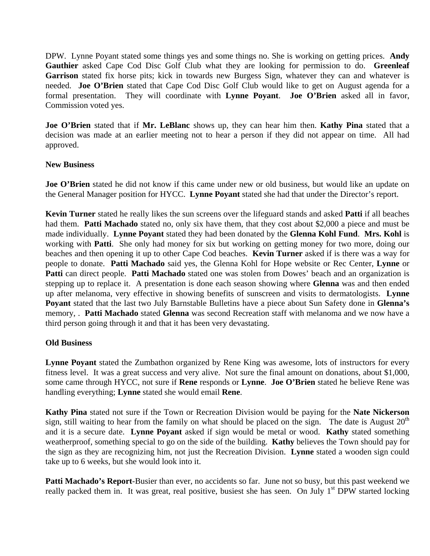DPW. Lynne Poyant stated some things yes and some things no. She is working on getting prices. **Andy Gauthier** asked Cape Cod Disc Golf Club what they are looking for permission to do. **Greenleaf Garrison** stated fix horse pits; kick in towards new Burgess Sign, whatever they can and whatever is needed. **Joe O'Brien** stated that Cape Cod Disc Golf Club would like to get on August agenda for a formal presentation. They will coordinate with **Lynne Poyant**. **Joe O'Brien** asked all in favor, Commission voted yes.

**Joe O'Brien** stated that if **Mr. LeBlanc** shows up, they can hear him then. **Kathy Pina** stated that a decision was made at an earlier meeting not to hear a person if they did not appear on time. All had approved.

## **New Business**

**Joe O'Brien** stated he did not know if this came under new or old business, but would like an update on the General Manager position for HYCC. **Lynne Poyant** stated she had that under the Director's report.

**Kevin Turner** stated he really likes the sun screens over the lifeguard stands and asked **Patti** if all beaches had them. **Patti Machado** stated no, only six have them, that they cost about \$2,000 a piece and must be made individually. **Lynne Poyant** stated they had been donated by the **Glenna Kohl Fund**. **Mrs. Kohl** is working with **Patti**. She only had money for six but working on getting money for two more, doing our beaches and then opening it up to other Cape Cod beaches. **Kevin Turner** asked if is there was a way for people to donate. **Patti Machado** said yes, the Glenna Kohl for Hope website or Rec Center, **Lynne** or **Patti** can direct people. **Patti Machado** stated one was stolen from Dowes' beach and an organization is stepping up to replace it. A presentation is done each season showing where **Glenna** was and then ended up after melanoma, very effective in showing benefits of sunscreen and visits to dermatologists. **Lynne Poyant** stated that the last two July Barnstable Bulletins have a piece about Sun Safety done in **Glenna's** memory, . **Patti Machado** stated **Glenna** was second Recreation staff with melanoma and we now have a third person going through it and that it has been very devastating.

## **Old Business**

**Lynne Poyant** stated the Zumbathon organized by Rene King was awesome, lots of instructors for every fitness level. It was a great success and very alive. Not sure the final amount on donations, about \$1,000, some came through HYCC, not sure if **Rene** responds or **Lynne**. **Joe O'Brien** stated he believe Rene was handling everything; **Lynne** stated she would email **Rene**.

**Kathy Pina** stated not sure if the Town or Recreation Division would be paying for the **Nate Nickerson** sign, still waiting to hear from the family on what should be placed on the sign. The date is August  $20<sup>th</sup>$ and it is a secure date. **Lynne Poyant** asked if sign would be metal or wood. **Kathy** stated something weatherproof, something special to go on the side of the building. **Kathy** believes the Town should pay for the sign as they are recognizing him, not just the Recreation Division. **Lynne** stated a wooden sign could take up to 6 weeks, but she would look into it.

**Patti Machado's Report**-Busier than ever, no accidents so far. June not so busy, but this past weekend we really packed them in. It was great, real positive, busiest she has seen. On July 1<sup>st</sup> DPW started locking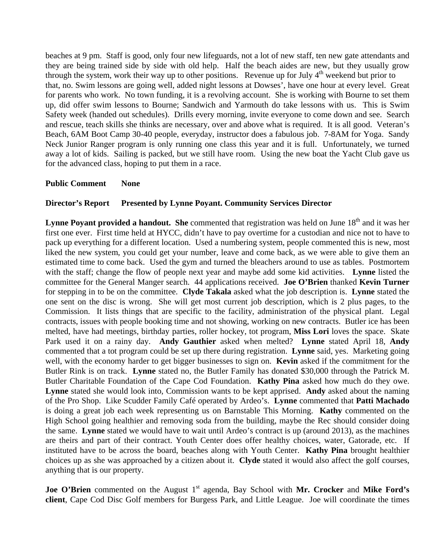beaches at 9 pm. Staff is good, only four new lifeguards, not a lot of new staff, ten new gate attendants and they are being trained side by side with old help. Half the beach aides are new, but they usually grow through the system, work their way up to other positions. Revenue up for July  $4<sup>th</sup>$  weekend but prior to that, no. Swim lessons are going well, added night lessons at Dowses', have one hour at every level. Great for parents who work. No town funding, it is a revolving account. She is working with Bourne to set them up, did offer swim lessons to Bourne; Sandwich and Yarmouth do take lessons with us. This is Swim Safety week (handed out schedules). Drills every morning, invite everyone to come down and see. Search and rescue, teach skills she thinks are necessary, over and above what is required. It is all good. Veteran's Beach, 6AM Boot Camp 30-40 people, everyday, instructor does a fabulous job. 7-8AM for Yoga. Sandy Neck Junior Ranger program is only running one class this year and it is full. Unfortunately, we turned away a lot of kids. Sailing is packed, but we still have room. Using the new boat the Yacht Club gave us for the advanced class, hoping to put them in a race.

### **Public Comment None**

### **Director's Report Presented by Lynne Poyant. Community Services Director**

**Lynne Poyant provided a handout. She** commented that registration was held on June 18<sup>th</sup> and it was her first one ever. First time held at HYCC, didn't have to pay overtime for a custodian and nice not to have to pack up everything for a different location. Used a numbering system, people commented this is new, most liked the new system, you could get your number, leave and come back, as we were able to give them an estimated time to come back. Used the gym and turned the bleachers around to use as tables. Postmortem with the staff; change the flow of people next year and maybe add some kid activities. **Lynne** listed the committee for the General Manger search. 44 applications received. **Joe O'Brien** thanked **Kevin Turner**  for stepping in to be on the committee. **Clyde Takala** asked what the job description is. **Lynne** stated the one sent on the disc is wrong. She will get most current job description, which is 2 plus pages, to the Commission. It lists things that are specific to the facility, administration of the physical plant. Legal contracts, issues with people booking time and not showing, working on new contracts. Butler ice has been melted, have had meetings, birthday parties, roller hockey, tot program, **Miss Lori** loves the space. Skate Park used it on a rainy day. **Andy Gauthier** asked when melted? **Lynne** stated April 18, **Andy** commented that a tot program could be set up there during registration. **Lynne** said, yes. Marketing going well, with the economy harder to get bigger businesses to sign on. **Kevin** asked if the commitment for the Butler Rink is on track. **Lynne** stated no, the Butler Family has donated \$30,000 through the Patrick M. Butler Charitable Foundation of the Cape Cod Foundation. **Kathy Pina** asked how much do they owe. **Lynne** stated she would look into, Commission wants to be kept apprised. **Andy** asked about the naming of the Pro Shop. Like Scudder Family Café operated by Ardeo's. **Lynne** commented that **Patti Machado** is doing a great job each week representing us on Barnstable This Morning. **Kathy** commented on the High School going healthier and removing soda from the building, maybe the Rec should consider doing the same. **Lynne** stated we would have to wait until Ardeo's contract is up (around 2013), as the machines are theirs and part of their contract. Youth Center does offer healthy choices, water, Gatorade, etc. If instituted have to be across the board, beaches along with Youth Center. **Kathy Pina** brought healthier choices up as she was approached by a citizen about it. **Clyde** stated it would also affect the golf courses, anything that is our property.

**Joe O'Brien** commented on the August 1<sup>st</sup> agenda, Bay School with Mr. Crocker and Mike Ford's **client**, Cape Cod Disc Golf members for Burgess Park, and Little League. Joe will coordinate the times